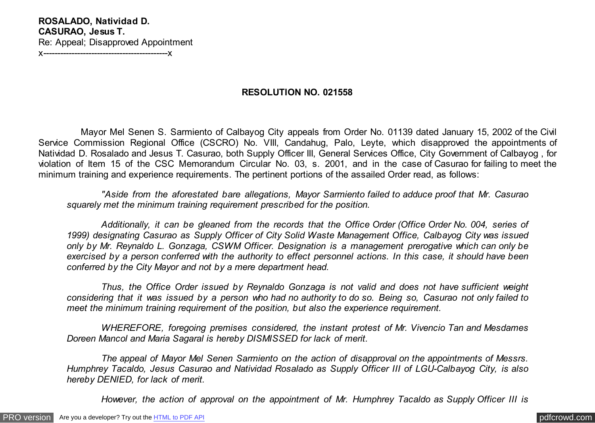## **RESOLUTION NO. 021558**

 Mayor Mel Senen S. Sarmiento of Calbayog City appeals from Order No. 01139 dated January 15, 2002 of the Civil Service Commission Regional Office (CSCRO) No. VIII, Candahug, Palo, Leyte, which disapproved the appointments of Natividad D. Rosalado and Jesus T. Casurao, both Supply Officer III, General Services Office, City Government of Calbayog , for violation of Item 15 of the CSC Memorandum Circular No. 03, s. 2001, and in the case of Casurao for failing to meet the minimum training and experience requirements. The pertinent portions of the assailed Order read, as follows:

 *"Aside from the aforestated bare allegations, Mayor Sarmiento failed to adduce proof that Mr. Casurao squarely met the minimum training requirement prescribed for the position.*

 *Additionally, it can be gleaned from the records that the Office Order (Office Order No. 004, series of 1999) designating Casurao as Supply Officer of City Solid Waste Management Office, Calbayog City was issued only by Mr. Reynaldo L. Gonzaga, CSWM Officer. Designation is a management prerogative which can only be exercised by a person conferred with the authority to effect personnel actions. In this case, it should have been conferred by the City Mayor and not by a mere department head.*

 *Thus, the Office Order issued by Reynaldo Gonzaga is not valid and does not have sufficient weight considering that it was issued by a person who had no authority to do so. Being so, Casurao not only failed to meet the minimum training requirement of the position, but also the experience requirement.*

 *WHEREFORE, foregoing premises considered, the instant protest of Mr. Vivencio Tan and Mesdames Doreen Mancol and Maria Sagaral is hereby DISMISSED for lack of merit.*

 *The appeal of Mayor Mel Senen Sarmiento on the action of disapproval on the appointments of Messrs. Humphrey Tacaldo, Jesus Casurao and Natividad Rosalado as Supply Officer III of LGU-Calbayog City, is also hereby DENIED, for lack of merit.*

 *However, the action of approval on the appointment of Mr. Humphrey Tacaldo as Supply Officer III is*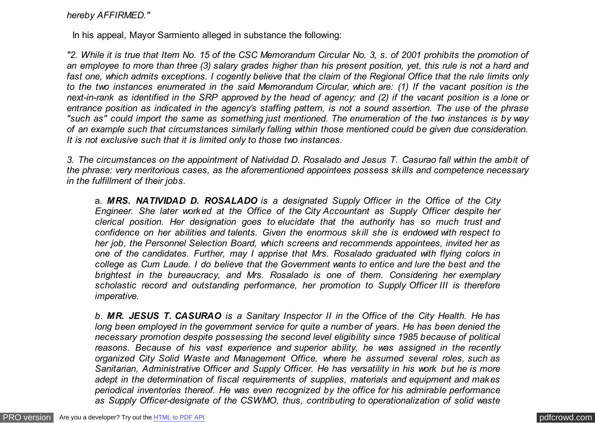*hereby AFFIRMED."*

In his appeal, Mayor Sarmiento alleged in substance the following:

*"2. While it is true that Item No. 15 of the CSC Memorandum Circular No. 3, s. of 2001 prohibits the promotion of an employee to more than three (3) salary grades higher than his present position, yet, this rule is not a hard and fast one, which admits exceptions. I cogently believe that the claim of the Regional Office that the rule limits only to the two instances enumerated in the said Memorandum Circular, which are: (1) If the vacant position is the next-in-rank as identified in the SRP approved by the head of agency; and (2) if the vacant position is a lone or entrance position as indicated in the agency's staffing pattern, is not a sound assertion. The use of the phrase "such as" could import the same as something just mentioned. The enumeration of the two instances is by way of an example such that circumstances similarly falling within those mentioned could be given due consideration. It is not exclusive such that it is limited only to those two instances.*

*3. The circumstances on the appointment of Natividad D. Rosalado and Jesus T. Casurao fall within the ambit of the phrase: very meritorious cases, as the aforementioned appointees possess skills and competence necessary in the fulfillment of their jobs.*

a. *MRS. NATIVIDAD D. ROSALADO is a designated Supply Officer in the Office of the City Engineer. She later worked at the Office of the City Accountant as Supply Officer despite her clerical position. Her designation goes to elucidate that the authority has so much trust and confidence on her abilities and talents. Given the enormous skill she is endowed with respect to her job, the Personnel Selection Board, which screens and recommends appointees, invited her as one of the candidates. Further, may I apprise that Mrs. Rosalado graduated with flying colors in college as Cum Laude. I do believe that the Government wants to entice and lure the best and the brightest in the bureaucracy, and Mrs. Rosalado is one of them. Considering her exemplary scholastic record and outstanding performance, her promotion to Supply Officer III is therefore imperative.*

*b. MR. JESUS T. CASURAO is a Sanitary Inspector II in the Office of the City Health. He has long been employed in the government service for quite a number of years. He has been denied the necessary promotion despite possessing the second level eligibility since 1985 because of political reasons. Because of his vast experience and superior ability, he was assigned in the recently organized City Solid Waste and Management Office, where he assumed several roles, such as Sanitarian, Administrative Officer and Supply Officer. He has versatility in his work but he is more adept in the determination of fiscal requirements of supplies, materials and equipment and makes periodical inventories thereof. He was even recognized by the office for his admirable performance as Supply Officer-designate of the CSWMO, thus, contributing to operationalization of solid waste*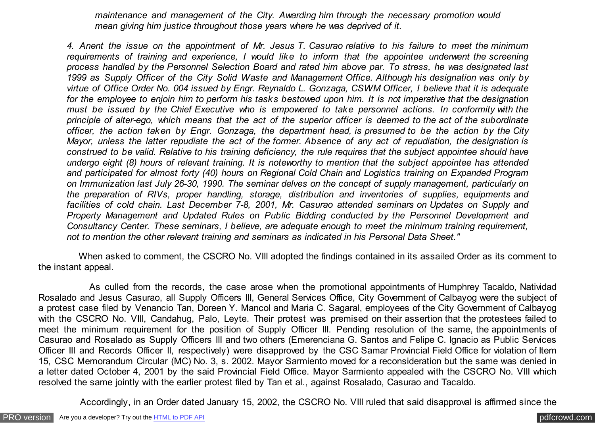*maintenance and management of the City. Awarding him through the necessary promotion would mean giving him justice throughout those years where he was deprived of it.*

*4. Anent the issue on the appointment of Mr. Jesus T. Casurao relative to his failure to meet the minimum requirements of training and experience, I would like to inform that the appointee underwent the screening process handled by the Personnel Selection Board and rated him above par. To stress, he was designated last 1999 as Supply Officer of the City Solid Waste and Management Office. Although his designation was only by virtue of Office Order No. 004 issued by Engr. Reynaldo L. Gonzaga, CSWM Officer, I believe that it is adequate for the employee to enjoin him to perform his tasks bestowed upon him. It is not imperative that the designation must be issued by the Chief Executive who is empowered to take personnel actions. In conformity with the principle of alter-ego, which means that the act of the superior officer is deemed to the act of the subordinate officer, the action taken by Engr. Gonzaga, the department head, is presumed to be the action by the City Mayor, unless the latter repudiate the act of the former. Absence of any act of repudiation, the designation is construed to be valid. Relative to his training deficiency, the rule requires that the subject appointee should have undergo eight (8) hours of relevant training. It is noteworthy to mention that the subject appointee has attended and participated for almost forty (40) hours on Regional Cold Chain and Logistics training on Expanded Program on Immunization last July 26-30, 1990. The seminar delves on the concept of supply management, particularly on the preparation of RIVs, proper handling, storage, distribution and inventories of supplies, equipments and facilities of cold chain. Last December 7-8, 2001, Mr. Casurao attended seminars on Updates on Supply and Property Management and Updated Rules on Public Bidding conducted by the Personnel Development and Consultancy Center. These seminars, I believe, are adequate enough to meet the minimum training requirement, not to mention the other relevant training and seminars as indicated in his Personal Data Sheet."*

 When asked to comment, the CSCRO No. VIII adopted the findings contained in its assailed Order as its comment to the instant appeal.

 As culled from the records, the case arose when the promotional appointments of Humphrey Tacaldo, Natividad Rosalado and Jesus Casurao, all Supply Officers III, General Services Office, City Government of Calbayog were the subject of a protest case filed by Venancio Tan, Doreen Y. Mancol and Maria C. Sagaral, employees of the City Government of Calbayog with the CSCRO No. VIII, Candahug, Palo, Leyte. Their protest was premised on their assertion that the protestees failed to meet the minimum requirement for the position of Supply Officer III. Pending resolution of the same, the appointments of Casurao and Rosalado as Supply Officers III and two others (Emerenciana G. Santos and Felipe C. Ignacio as Public Services Officer III and Records Officer II, respectively) were disapproved by the CSC Samar Provincial Field Office for violation of Item 15, CSC Memorandum Circular (MC) No. 3, s. 2002. Mayor Sarmiento moved for a reconsideration but the same was denied in a letter dated October 4, 2001 by the said Provincial Field Office. Mayor Sarmiento appealed with the CSCRO No. VIII which resolved the same jointly with the earlier protest filed by Tan et al., against Rosalado, Casurao and Tacaldo.

Accordingly, in an Order dated January 15, 2002, the CSCRO No. VIII ruled that said disapproval is affirmed since the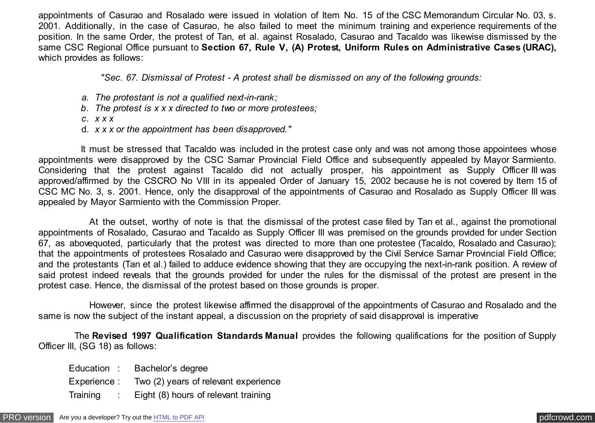appointments of Casurao and Rosalado were issued in violation of Item No. 15 of the CSC Memorandum Circular No. 03, s. 2001. Additionally, in the case of Casurao, he also failed to meet the minimum training and experience requirements of the position. In the same Order, the protest of Tan, et al. against Rosalado, Casurao and Tacaldo was likewise dismissed by the same CSC Regional Office pursuant to **Section 67, Rule V, (A) Protest, Uniform Rules on Administrative Cases (URAC),** which provides as follows:

 *"Sec. 67. Dismissal of Protest - A protest shall be dismissed on any of the following grounds:*

- *a. The protestant is not a qualified next-in-rank;*
- *b. The protest is x x x directed to two or more protestees;*
- *c. x x x*
- d. *x x x or the appointment has been disapproved."*

 It must be stressed that Tacaldo was included in the protest case only and was not among those appointees whose appointments were disapproved by the CSC Samar Provincial Field Office and subsequently appealed by Mayor Sarmiento. Considering that the protest against Tacaldo did not actually prosper, his appointment as Supply Officer III was approved/affirmed by the CSCRO No VIII in its appealed Order of January 15, 2002 because he is not covered by Item 15 of CSC MC No. 3, s. 2001. Hence, only the disapproval of the appointments of Casurao and Rosalado as Supply Officer III was appealed by Mayor Sarmiento with the Commission Proper.

 At the outset, worthy of note is that the dismissal of the protest case filed by Tan et al., against the promotional appointments of Rosalado, Casurao and Tacaldo as Supply Officer III was premised on the grounds provided for under Section 67, as abovequoted, particularly that the protest was directed to more than one protestee (Tacaldo, Rosalado and Casurao); that the appointments of protestees Rosalado and Casurao were disapproved by the Civil Service Samar Provincial Field Office; and the protestants (Tan et al.) failed to adduce evidence showing that they are occupying the next-in-rank position. A review of said protest indeed reveals that the grounds provided for under the rules for the dismissal of the protest are present in the protest case. Hence, the dismissal of the protest based on those grounds is proper.

 However, since the protest likewise affirmed the disapproval of the appointments of Casurao and Rosalado and the same is now the subject of the instant appeal, a discussion on the propriety of said disapproval is imperative

 The **Revised 1997 Qualification Standards Manual** provides the following qualifications for the position of Supply Officer III, (SG 18) as follows:

Education : Bachelor's degree Experience : Two (2) years of relevant experience Training : Eight (8) hours of relevant training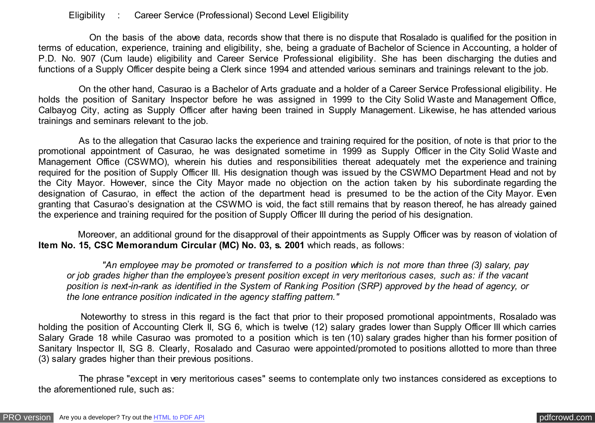## Eligibility : Career Service (Professional) Second Level Eligibility

 On the basis of the above data, records show that there is no dispute that Rosalado is qualified for the position in terms of education, experience, training and eligibility, she, being a graduate of Bachelor of Science in Accounting, a holder of P.D. No. 907 (Cum laude) eligibility and Career Service Professional eligibility. She has been discharging the duties and functions of a Supply Officer despite being a Clerk since 1994 and attended various seminars and trainings relevant to the job.

 On the other hand, Casurao is a Bachelor of Arts graduate and a holder of a Career Service Professional eligibility. He holds the position of Sanitary Inspector before he was assigned in 1999 to the City Solid Waste and Management Office, Calbayog City, acting as Supply Officer after having been trained in Supply Management. Likewise, he has attended various trainings and seminars relevant to the job.

 As to the allegation that Casurao lacks the experience and training required for the position, of note is that prior to the promotional appointment of Casurao, he was designated sometime in 1999 as Supply Officer in the City Solid Waste and Management Office (CSWMO), wherein his duties and responsibilities thereat adequately met the experience and training required for the position of Supply Officer III. His designation though was issued by the CSWMO Department Head and not by the City Mayor. However, since the City Mayor made no objection on the action taken by his subordinate regarding the designation of Casurao, in effect the action of the department head is presumed to be the action of the City Mayor. Even granting that Casurao's designation at the CSWMO is void, the fact still remains that by reason thereof, he has already gained the experience and training required for the position of Supply Officer III during the period of his designation.

 Moreover, an additional ground for the disapproval of their appointments as Supply Officer was by reason of violation of **Item No. 15, CSC Memorandum Circular (MC) No. 03, s. 2001** which reads, as follows:

 *"An employee may be promoted or transferred to a position which is not more than three (3) salary, pay or job grades higher than the employee's present position except in very meritorious cases, such as: if the vacant position is next-in-rank as identified in the System of Ranking Position (SRP) approved by the head of agency, or the lone entrance position indicated in the agency staffing pattern."*

 Noteworthy to stress in this regard is the fact that prior to their proposed promotional appointments, Rosalado was holding the position of Accounting Clerk II, SG 6, which is twelve (12) salary grades lower than Supply Officer III which carries Salary Grade 18 while Casurao was promoted to a position which is ten (10) salary grades higher than his former position of Sanitary Inspector II, SG 8. Clearly, Rosalado and Casurao were appointed/promoted to positions allotted to more than three (3) salary grades higher than their previous positions.

 The phrase "except in very meritorious cases" seems to contemplate only two instances considered as exceptions to the aforementioned rule, such as: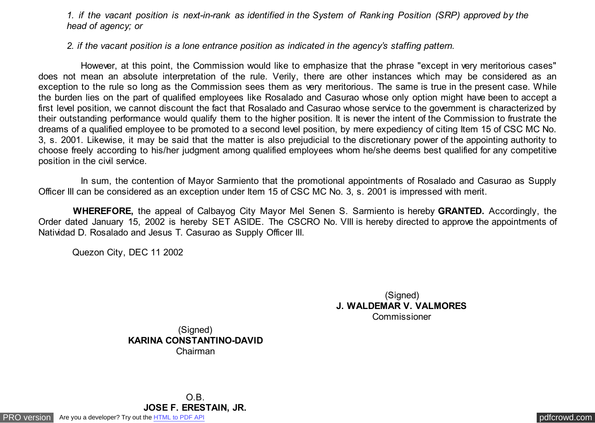*1. if the vacant position is next-in-rank as identified in the System of Ranking Position (SRP) approved by the head of agency; or*

*2. if the vacant position is a lone entrance position as indicated in the agency's staffing pattern.*

 However, at this point, the Commission would like to emphasize that the phrase "except in very meritorious cases" does not mean an absolute interpretation of the rule. Verily, there are other instances which may be considered as an exception to the rule so long as the Commission sees them as very meritorious. The same is true in the present case. While the burden lies on the part of qualified employees like Rosalado and Casurao whose only option might have been to accept a first level position, we cannot discount the fact that Rosalado and Casurao whose service to the government is characterized by their outstanding performance would qualify them to the higher position. It is never the intent of the Commission to frustrate the dreams of a qualified employee to be promoted to a second level position, by mere expediency of citing Item 15 of CSC MC No. 3, s. 2001. Likewise, it may be said that the matter is also prejudicial to the discretionary power of the appointing authority to choose freely according to his/her judgment among qualified employees whom he/she deems best qualified for any competitive position in the civil service.

 In sum, the contention of Mayor Sarmiento that the promotional appointments of Rosalado and Casurao as Supply Officer III can be considered as an exception under Item 15 of CSC MC No. 3, s. 2001 is impressed with merit.

 **WHEREFORE,** the appeal of Calbayog City Mayor Mel Senen S. Sarmiento is hereby **GRANTED.** Accordingly, the Order dated January 15, 2002 is hereby SET ASIDE. The CSCRO No. VIII is hereby directed to approve the appointments of Natividad D. Rosalado and Jesus T. Casurao as Supply Officer III.

Quezon City, DEC 11 2002

(Signed) **J. WALDEMAR V. VALMORES** Commissioner

(Signed) **KARINA CONSTANTINO-DAVID** Chairman